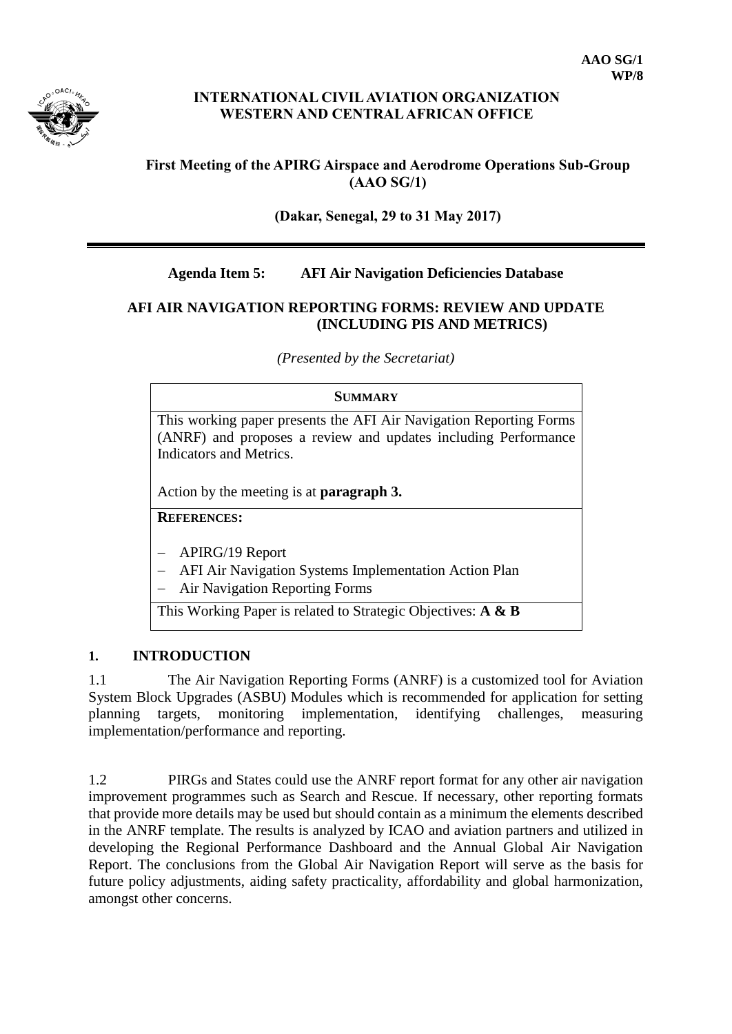

### **INTERNATIONAL CIVIL AVIATION ORGANIZATION WESTERN AND CENTRAL AFRICAN OFFICE**

## **First Meeting of the APIRG Airspace and Aerodrome Operations Sub-Group (AAO SG/1)**

**(Dakar, Senegal, 29 to 31 May 2017)**

# **Agenda Item 5: AFI Air Navigation Deficiencies Database**

### **AFI AIR NAVIGATION REPORTING FORMS: REVIEW AND UPDATE (INCLUDING PIS AND METRICS)**

*(Presented by the Secretariat)*

#### **SUMMARY**

This working paper presents the AFI Air Navigation Reporting Forms (ANRF) and proposes a review and updates including Performance Indicators and Metrics.

Action by the meeting is at **paragraph 3.**

**REFERENCES:**

- APIRG/19 Report
- AFI Air Navigation Systems Implementation Action Plan
- Air Navigation Reporting Forms

This Working Paper is related to Strategic Objectives: **A & B**

### **1. INTRODUCTION**

1.1 The Air Navigation Reporting Forms (ANRF) is a customized tool for Aviation System Block Upgrades (ASBU) Modules which is recommended for application for setting planning targets, monitoring implementation, identifying challenges, measuring implementation/performance and reporting.

1.2 PIRGs and States could use the ANRF report format for any other air navigation improvement programmes such as Search and Rescue. If necessary, other reporting formats that provide more details may be used but should contain as a minimum the elements described in the ANRF template. The results is analyzed by ICAO and aviation partners and utilized in developing the Regional Performance Dashboard and the Annual Global Air Navigation Report. The conclusions from the Global Air Navigation Report will serve as the basis for future policy adjustments, aiding safety practicality, affordability and global harmonization, amongst other concerns.